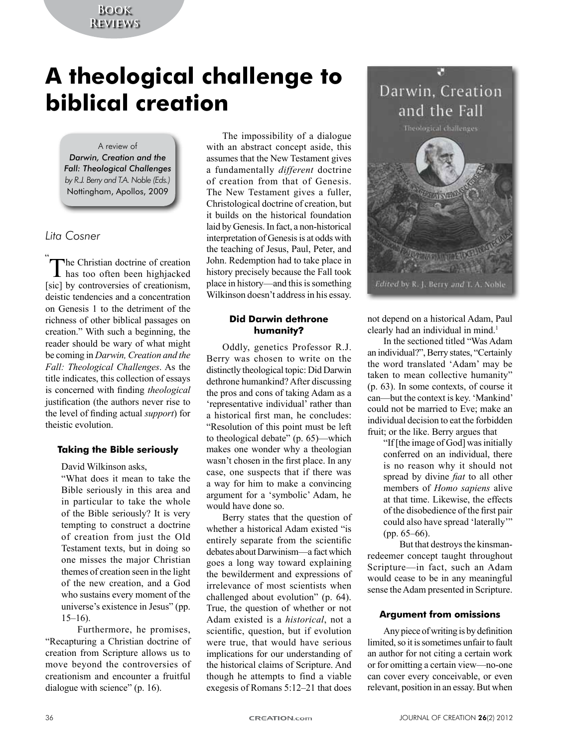# **Book Reviews**

# **A theological challenge to biblical creation**

### A review of *Darwin, Creation and the Fall: Theological Challenges by R.J. Berry and T.A. Noble (Eds.)* Nottingham, Apollos, 2009

# *Lita Cosner*

The Christian doctrine of creation<br>has too often been highjacked  $\perp$  has too often been highjacked [sic] by controversies of creationism, deistic tendencies and a concentration on Genesis 1 to the detriment of the richness of other biblical passages on creation." With such a beginning, the reader should be wary of what might be coming in *Darwin, Creation and the Fall: Theological Challenges*. As the title indicates, this collection of essays is concerned with finding *theological* justification (the authors never rise to the level of finding actual *support*) for theistic evolution.

## **Taking the Bible seriously**

David Wilkinson asks,

"What does it mean to take the Bible seriously in this area and in particular to take the whole of the Bible seriously? It is very tempting to construct a doctrine of creation from just the Old Testament texts, but in doing so one misses the major Christian themes of creation seen in the light of the new creation, and a God who sustains every moment of the universe's existence in Jesus" (pp. 15–16).

Furthermore, he promises, "Recapturing a Christian doctrine of creation from Scripture allows us to move beyond the controversies of creationism and encounter a fruitful dialogue with science" (p. 16).

The impossibility of a dialogue with an abstract concept aside, this assumes that the New Testament gives a fundamentally *different* doctrine of creation from that of Genesis. The New Testament gives a fuller, Christological doctrine of creation, but it builds on the historical foundation laid by Genesis. In fact, a non-historical interpretation of Genesis is at odds with the teaching of Jesus, Paul, Peter, and John. Redemption had to take place in history precisely because the Fall took place in history—and this is something Wilkinson doesn't address in his essay.

## **Did Darwin dethrone humanity**?

Oddly, genetics Professor R.J. Berry was chosen to write on the distinctly theological topic: Did Darwin dethrone humankind? After discussing the pros and cons of taking Adam as a 'representative individual' rather than a historical first man, he concludes: "Resolution of this point must be left to theological debate" (p. 65)—which makes one wonder why a theologian wasn't chosen in the first place. In any case, one suspects that if there was a way for him to make a convincing argument for a 'symbolic' Adam, he would have done so.

Berry states that the question of whether a historical Adam existed "is entirely separate from the scientific debates about Darwinism—a fact which goes a long way toward explaining the bewilderment and expressions of irrelevance of most scientists when challenged about evolution" (p. 64). True, the question of whether or not Adam existed is a *historical*, not a scientific, question, but if evolution were true, that would have serious implications for our understanding of the historical claims of Scripture. And though he attempts to find a viable exegesis of Romans 5:12–21 that does



not depend on a historical Adam, Paul clearly had an individual in mind.<sup>1</sup>

In the sectioned titled "Was Adam an individual?", Berry states, "Certainly the word translated 'Adam' may be taken to mean collective humanity" (p. 63). In some contexts, of course it can—but the context is key. 'Mankind' could not be married to Eve; make an individual decision to eat the forbidden fruit; or the like. Berry argues that

"If [the image of God] was initially conferred on an individual, there is no reason why it should not spread by divine *fiat* to all other members of *Homo sapiens* alive at that time. Likewise, the effects of the disobedience of the first pair could also have spread 'laterally'" (pp. 65–66).

But that destroys the kinsmanredeemer concept taught throughout Scripture—in fact, such an Adam would cease to be in any meaningful sense the Adam presented in Scripture.

## **Argument from omissions**

Any piece of writing is by definition limited, so it is sometimes unfair to fault an author for not citing a certain work or for omitting a certain view—no-one can cover every conceivable, or even relevant, position in an essay. But when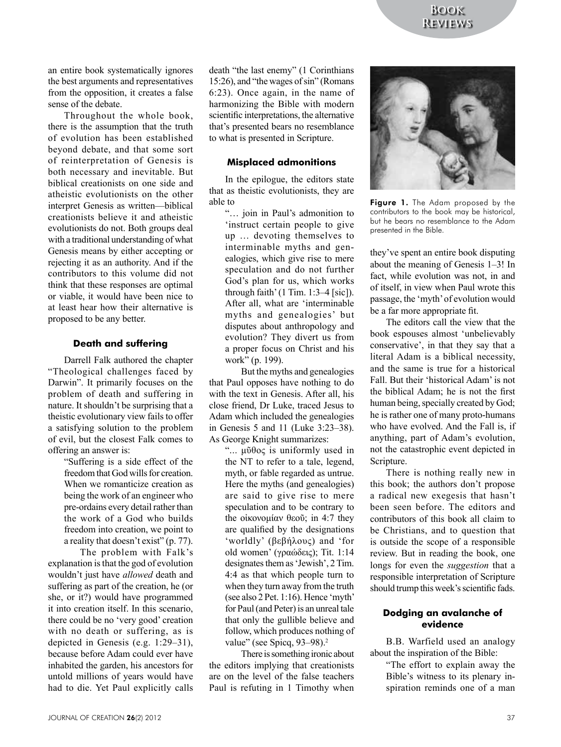an entire book systematically ignores the best arguments and representatives from the opposition, it creates a false sense of the debate.

Throughout the whole book, there is the assumption that the truth of evolution has been established beyond debate, and that some sort of reinterpretation of Genesis is both necessary and inevitable. But biblical creationists on one side and atheistic evolutionists on the other interpret Genesis as written—biblical creationists believe it and atheistic evolutionists do not. Both groups deal with a traditional understanding of what Genesis means by either accepting or rejecting it as an authority. And if the contributors to this volume did not think that these responses are optimal or viable, it would have been nice to at least hear how their alternative is proposed to be any better.

#### **Death and suffering**

Darrell Falk authored the chapter "Theological challenges faced by Darwin". It primarily focuses on the problem of death and suffering in nature. It shouldn't be surprising that a theistic evolutionary view fails to offer a satisfying solution to the problem of evil, but the closest Falk comes to offering an answer is:

> "Suffering is a side effect of the freedom that God wills for creation. When we romanticize creation as being the work of an engineer who pre-ordains every detail rather than the work of a God who builds freedom into creation, we point to a reality that doesn't exist" (p. 77).

The problem with Falk's explanation is that the god of evolution wouldn't just have *allowed* death and suffering as part of the creation, he (or she, or it?) would have programmed it into creation itself. In this scenario, there could be no 'very good' creation with no death or suffering, as is depicted in Genesis (e.g. 1:29–31), because before Adam could ever have inhabited the garden, his ancestors for untold millions of years would have had to die. Yet Paul explicitly calls death "the last enemy" (1 Corinthians 15:26), and "the wages of sin" (Romans 6:23). Once again, in the name of harmonizing the Bible with modern scientific interpretations, the alternative that's presented bears no resemblance to what is presented in Scripture.

#### **Misplaced admonitions**

In the epilogue, the editors state that as theistic evolutionists, they are able to

"… join in Paul's admonition to 'instruct certain people to give up … devoting themselves to interminable myths and genealogies, which give rise to mere speculation and do not further God's plan for us, which works through faith' (1 Tim.  $1:3-4$  [sic]). After all, what are 'interminable myths and genealogies' but disputes about anthropology and evolution? They divert us from a proper focus on Christ and his work" (p. 199).

But the myths and genealogies that Paul opposes have nothing to do with the text in Genesis. After all, his close friend, Dr Luke, traced Jesus to Adam which included the genealogies in Genesis 5 and 11 (Luke 3:23–38). As George Knight summarizes:

"... μῦθος is uniformly used in the NT to refer to a tale, legend, myth, or fable regarded as untrue. Here the myths (and genealogies) are said to give rise to mere speculation and to be contrary to the οἰκονομίαν θεοῦ; in 4:7 they are qualified by the designations 'worldly' (βεβήλους) and 'for old women' (γραώδεις); Tit. 1:14 designates them as 'Jewish', 2 Tim. 4:4 as that which people turn to when they turn away from the truth (see also 2 Pet. 1:16). Hence 'myth' for Paul (and Peter) is an unreal tale that only the gullible believe and follow, which produces nothing of value" (see Spicq, 93–98).<sup>2</sup>

There is something ironic about the editors implying that creationists are on the level of the false teachers Paul is refuting in 1 Timothy when



Figure 1. The Adam proposed by the contributors to the book may be historical, but he bears no resemblance to the Adam presented in the Bible.

they've spent an entire book disputing about the meaning of Genesis 1–3! In fact, while evolution was not, in and of itself, in view when Paul wrote this passage, the 'myth' of evolution would be a far more appropriate fit.

The editors call the view that the book espouses almost 'unbelievably conservative', in that they say that a literal Adam is a biblical necessity, and the same is true for a historical Fall. But their 'historical Adam' is not the biblical Adam; he is not the first human being, specially created by God; he is rather one of many proto-humans who have evolved. And the Fall is, if anything, part of Adam's evolution, not the catastrophic event depicted in Scripture.

There is nothing really new in this book; the authors don't propose a radical new exegesis that hasn't been seen before. The editors and contributors of this book all claim to be Christians, and to question that is outside the scope of a responsible review. But in reading the book, one longs for even the *suggestion* that a responsible interpretation of Scripture should trump this week's scientific fads.

#### **Dodging an avalanche of evidence**

B.B. Warfield used an analogy about the inspiration of the Bible:

> "The effort to explain away the Bible's witness to its plenary inspiration reminds one of a man